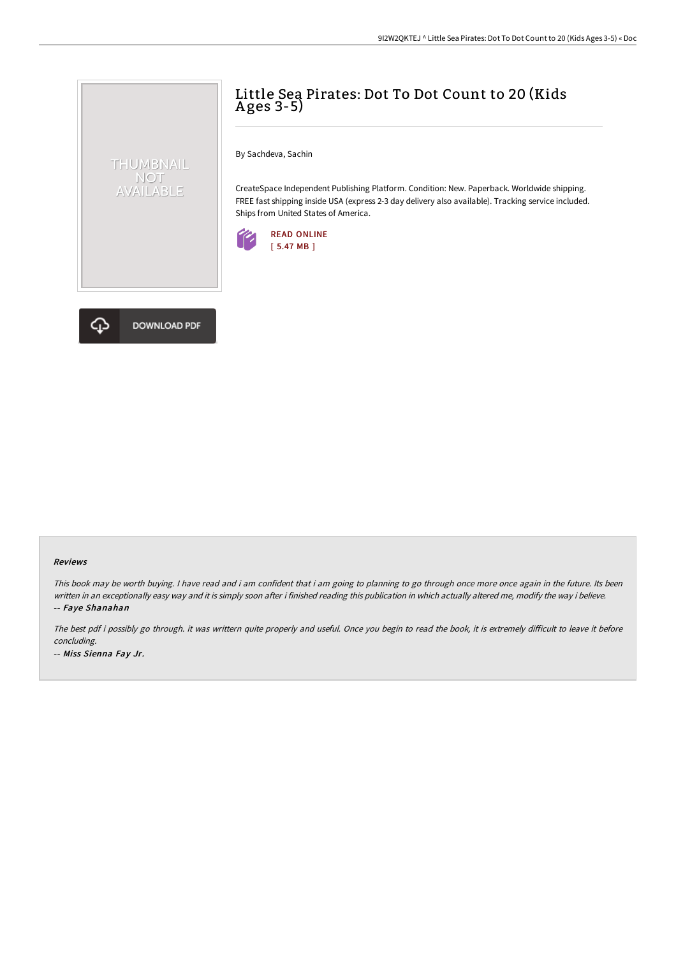## Little Sea Pirates: Dot To Dot Count to 20 (Kids A ges 3-5)

By Sachdeva, Sachin

CreateSpace Independent Publishing Platform. Condition: New. Paperback. Worldwide shipping. FREE fast shipping inside USA (express 2-3 day delivery also available). Tracking service included. Ships from United States of America.





THUMBNAIL NOT<br>AVAILABLE

## Reviews

This book may be worth buying. I have read and i am confident that i am going to planning to go through once more once again in the future. Its been written in an exceptionally easy way and it is simply soon after i finished reading this publication in which actually altered me, modify the way i believe. -- Faye Shanahan

The best pdf i possibly go through. it was writtern quite properly and useful. Once you begin to read the book, it is extremely difficult to leave it before concluding. -- Miss Sienna Fay Jr.